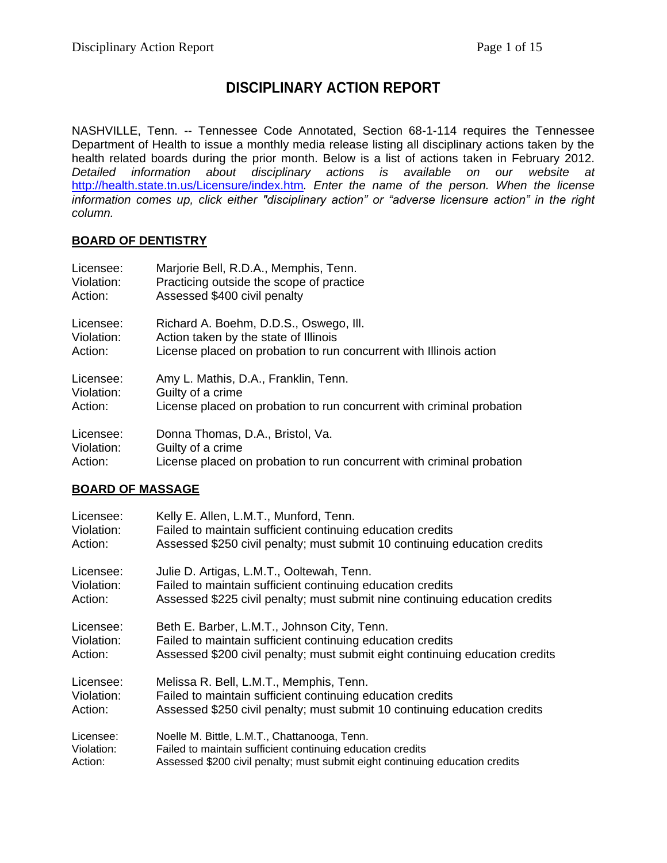# **DISCIPLINARY ACTION REPORT**

NASHVILLE, Tenn. -- Tennessee Code Annotated, Section 68-1-114 requires the Tennessee Department of Health to issue a monthly media release listing all disciplinary actions taken by the health related boards during the prior month. Below is a list of actions taken in February 2012. *Detailed information about disciplinary actions is available on our website at*  <http://health.state.tn.us/Licensure/index.htm>*. Enter the name of the person. When the license information comes up, click either "disciplinary action" or "adverse licensure action" in the right column.*

#### **BOARD OF DENTISTRY**

| Licensee:  | Marjorie Bell, R.D.A., Memphis, Tenn.                                 |
|------------|-----------------------------------------------------------------------|
| Violation: | Practicing outside the scope of practice                              |
| Action:    | Assessed \$400 civil penalty                                          |
| Licensee:  | Richard A. Boehm, D.D.S., Oswego, III.                                |
| Violation: | Action taken by the state of Illinois                                 |
| Action:    | License placed on probation to run concurrent with Illinois action    |
| Licensee:  | Amy L. Mathis, D.A., Franklin, Tenn.                                  |
| Violation: | Guilty of a crime                                                     |
| Action:    | License placed on probation to run concurrent with criminal probation |
| Licensee:  | Donna Thomas, D.A., Bristol, Va.                                      |
| Violation: | Guilty of a crime                                                     |
| Action:    | License placed on probation to run concurrent with criminal probation |

### **BOARD OF MASSAGE**

| Licensee:  | Kelly E. Allen, L.M.T., Munford, Tenn.                                       |
|------------|------------------------------------------------------------------------------|
| Violation: | Failed to maintain sufficient continuing education credits                   |
| Action:    | Assessed \$250 civil penalty; must submit 10 continuing education credits    |
| Licensee:  | Julie D. Artigas, L.M.T., Ooltewah, Tenn.                                    |
| Violation: | Failed to maintain sufficient continuing education credits                   |
| Action:    | Assessed \$225 civil penalty; must submit nine continuing education credits  |
| Licensee:  | Beth E. Barber, L.M.T., Johnson City, Tenn.                                  |
| Violation: | Failed to maintain sufficient continuing education credits                   |
| Action:    | Assessed \$200 civil penalty; must submit eight continuing education credits |
| Licensee:  | Melissa R. Bell, L.M.T., Memphis, Tenn.                                      |
| Violation: | Failed to maintain sufficient continuing education credits                   |
| Action:    | Assessed \$250 civil penalty; must submit 10 continuing education credits    |
| Licensee:  | Noelle M. Bittle, L.M.T., Chattanooga, Tenn.                                 |
| Violation: | Failed to maintain sufficient continuing education credits                   |
| Action:    | Assessed \$200 civil penalty; must submit eight continuing education credits |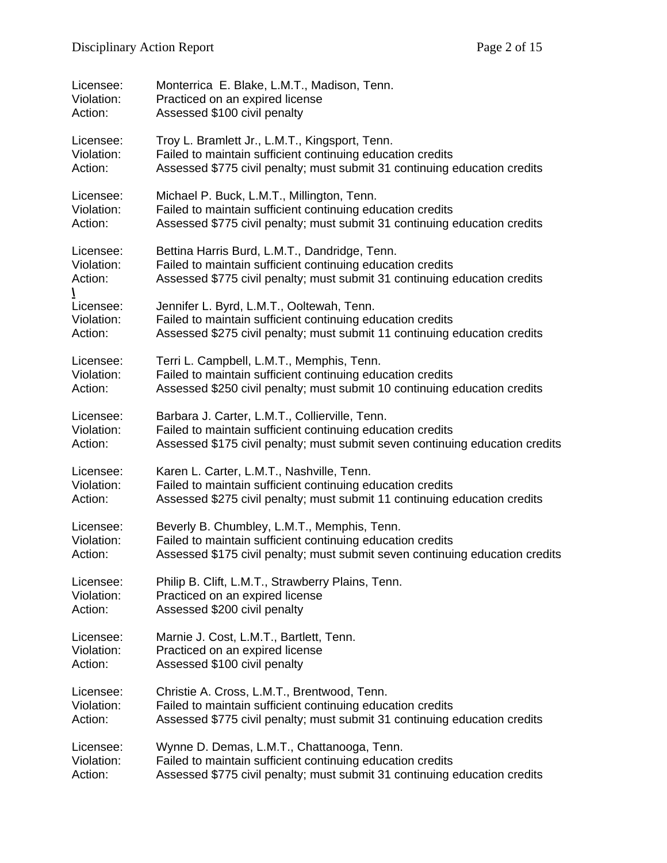| Licensee:  | Monterrica E. Blake, L.M.T., Madison, Tenn.                                  |
|------------|------------------------------------------------------------------------------|
| Violation: | Practiced on an expired license                                              |
| Action:    | Assessed \$100 civil penalty                                                 |
| Licensee:  | Troy L. Bramlett Jr., L.M.T., Kingsport, Tenn.                               |
| Violation: | Failed to maintain sufficient continuing education credits                   |
| Action:    | Assessed \$775 civil penalty; must submit 31 continuing education credits    |
| Licensee:  | Michael P. Buck, L.M.T., Millington, Tenn.                                   |
| Violation: | Failed to maintain sufficient continuing education credits                   |
| Action:    | Assessed \$775 civil penalty; must submit 31 continuing education credits    |
| Licensee:  | Bettina Harris Burd, L.M.T., Dandridge, Tenn.                                |
| Violation: | Failed to maintain sufficient continuing education credits                   |
| Action:    | Assessed \$775 civil penalty; must submit 31 continuing education credits    |
| Licensee:  | Jennifer L. Byrd, L.M.T., Ooltewah, Tenn.                                    |
| Violation: | Failed to maintain sufficient continuing education credits                   |
| Action:    | Assessed \$275 civil penalty; must submit 11 continuing education credits    |
| Licensee:  | Terri L. Campbell, L.M.T., Memphis, Tenn.                                    |
| Violation: | Failed to maintain sufficient continuing education credits                   |
| Action:    | Assessed \$250 civil penalty; must submit 10 continuing education credits    |
| Licensee:  | Barbara J. Carter, L.M.T., Collierville, Tenn.                               |
| Violation: | Failed to maintain sufficient continuing education credits                   |
| Action:    | Assessed \$175 civil penalty; must submit seven continuing education credits |
| Licensee:  | Karen L. Carter, L.M.T., Nashville, Tenn.                                    |
| Violation: | Failed to maintain sufficient continuing education credits                   |
| Action:    | Assessed \$275 civil penalty; must submit 11 continuing education credits    |
| Licensee:  | Beverly B. Chumbley, L.M.T., Memphis, Tenn.                                  |
| Violation: | Failed to maintain sufficient continuing education credits                   |
| Action:    | Assessed \$175 civil penalty; must submit seven continuing education credits |
| Licensee:  | Philip B. Clift, L.M.T., Strawberry Plains, Tenn.                            |
| Violation: | Practiced on an expired license                                              |
| Action:    | Assessed \$200 civil penalty                                                 |
| Licensee:  | Marnie J. Cost, L.M.T., Bartlett, Tenn.                                      |
| Violation: | Practiced on an expired license                                              |
| Action:    | Assessed \$100 civil penalty                                                 |
| Licensee:  | Christie A. Cross, L.M.T., Brentwood, Tenn.                                  |
| Violation: | Failed to maintain sufficient continuing education credits                   |
| Action:    | Assessed \$775 civil penalty; must submit 31 continuing education credits    |
| Licensee:  | Wynne D. Demas, L.M.T., Chattanooga, Tenn.                                   |
| Violation: | Failed to maintain sufficient continuing education credits                   |
| Action:    | Assessed \$775 civil penalty; must submit 31 continuing education credits    |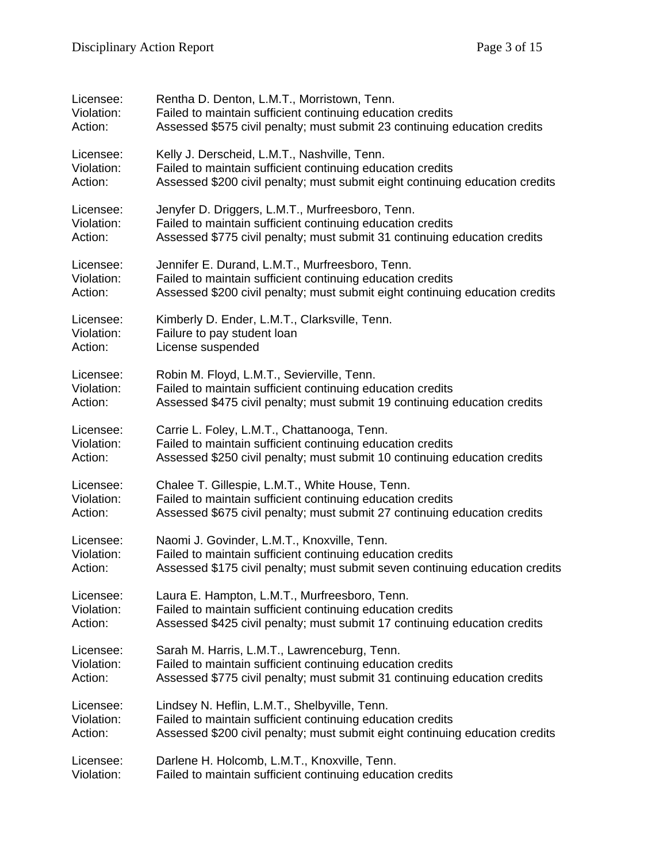| Licensee:  | Rentha D. Denton, L.M.T., Morristown, Tenn.                                  |
|------------|------------------------------------------------------------------------------|
| Violation: | Failed to maintain sufficient continuing education credits                   |
| Action:    | Assessed \$575 civil penalty; must submit 23 continuing education credits    |
| Licensee:  | Kelly J. Derscheid, L.M.T., Nashville, Tenn.                                 |
| Violation: | Failed to maintain sufficient continuing education credits                   |
| Action:    | Assessed \$200 civil penalty; must submit eight continuing education credits |
| Licensee:  | Jenyfer D. Driggers, L.M.T., Murfreesboro, Tenn.                             |
| Violation: | Failed to maintain sufficient continuing education credits                   |
| Action:    | Assessed \$775 civil penalty; must submit 31 continuing education credits    |
| Licensee:  | Jennifer E. Durand, L.M.T., Murfreesboro, Tenn.                              |
| Violation: | Failed to maintain sufficient continuing education credits                   |
| Action:    | Assessed \$200 civil penalty; must submit eight continuing education credits |
| Licensee:  | Kimberly D. Ender, L.M.T., Clarksville, Tenn.                                |
| Violation: | Failure to pay student loan                                                  |
| Action:    | License suspended                                                            |
| Licensee:  | Robin M. Floyd, L.M.T., Sevierville, Tenn.                                   |
| Violation: | Failed to maintain sufficient continuing education credits                   |
| Action:    | Assessed \$475 civil penalty; must submit 19 continuing education credits    |
| Licensee:  | Carrie L. Foley, L.M.T., Chattanooga, Tenn.                                  |
| Violation: | Failed to maintain sufficient continuing education credits                   |
| Action:    | Assessed \$250 civil penalty; must submit 10 continuing education credits    |
| Licensee:  | Chalee T. Gillespie, L.M.T., White House, Tenn.                              |
| Violation: | Failed to maintain sufficient continuing education credits                   |
| Action:    | Assessed \$675 civil penalty; must submit 27 continuing education credits    |
| Licensee:  | Naomi J. Govinder, L.M.T., Knoxville, Tenn.                                  |
| Violation: | Failed to maintain sufficient continuing education credits                   |
| Action:    | Assessed \$175 civil penalty; must submit seven continuing education credits |
| Licensee:  | Laura E. Hampton, L.M.T., Murfreesboro, Tenn.                                |
| Violation: | Failed to maintain sufficient continuing education credits                   |
| Action:    | Assessed \$425 civil penalty; must submit 17 continuing education credits    |
| Licensee:  | Sarah M. Harris, L.M.T., Lawrenceburg, Tenn.                                 |
| Violation: | Failed to maintain sufficient continuing education credits                   |
| Action:    | Assessed \$775 civil penalty; must submit 31 continuing education credits    |
| Licensee:  | Lindsey N. Heflin, L.M.T., Shelbyville, Tenn.                                |
| Violation: | Failed to maintain sufficient continuing education credits                   |
| Action:    | Assessed \$200 civil penalty; must submit eight continuing education credits |
| Licensee:  | Darlene H. Holcomb, L.M.T., Knoxville, Tenn.                                 |
| Violation: | Failed to maintain sufficient continuing education credits                   |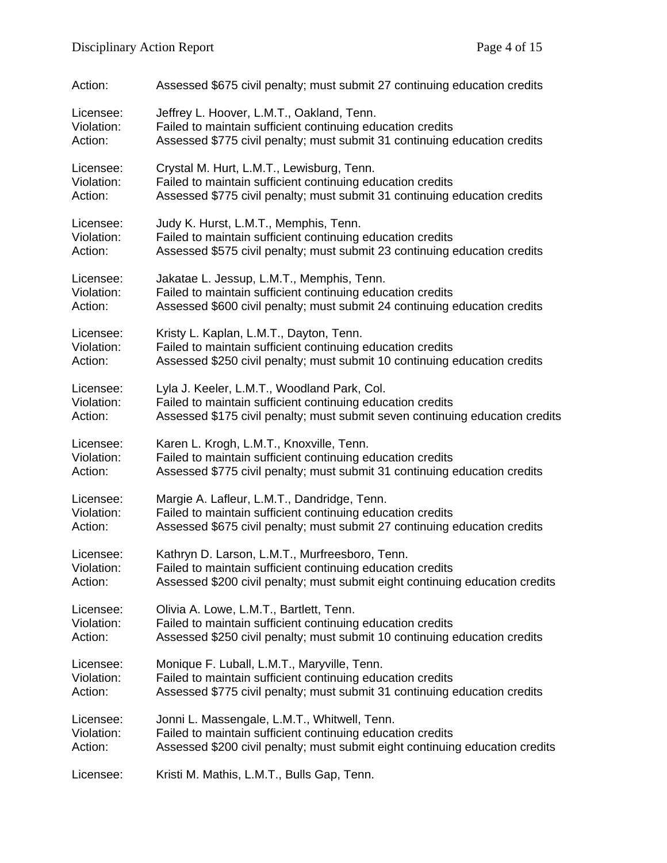| Action:    | Assessed \$675 civil penalty; must submit 27 continuing education credits    |
|------------|------------------------------------------------------------------------------|
| Licensee:  | Jeffrey L. Hoover, L.M.T., Oakland, Tenn.                                    |
| Violation: | Failed to maintain sufficient continuing education credits                   |
| Action:    | Assessed \$775 civil penalty; must submit 31 continuing education credits    |
| Licensee:  | Crystal M. Hurt, L.M.T., Lewisburg, Tenn.                                    |
| Violation: | Failed to maintain sufficient continuing education credits                   |
| Action:    | Assessed \$775 civil penalty; must submit 31 continuing education credits    |
| Licensee:  | Judy K. Hurst, L.M.T., Memphis, Tenn.                                        |
| Violation: | Failed to maintain sufficient continuing education credits                   |
| Action:    | Assessed \$575 civil penalty; must submit 23 continuing education credits    |
| Licensee:  | Jakatae L. Jessup, L.M.T., Memphis, Tenn.                                    |
| Violation: | Failed to maintain sufficient continuing education credits                   |
| Action:    | Assessed \$600 civil penalty; must submit 24 continuing education credits    |
| Licensee:  | Kristy L. Kaplan, L.M.T., Dayton, Tenn.                                      |
| Violation: | Failed to maintain sufficient continuing education credits                   |
| Action:    | Assessed \$250 civil penalty; must submit 10 continuing education credits    |
| Licensee:  | Lyla J. Keeler, L.M.T., Woodland Park, Col.                                  |
| Violation: | Failed to maintain sufficient continuing education credits                   |
| Action:    | Assessed \$175 civil penalty; must submit seven continuing education credits |
| Licensee:  | Karen L. Krogh, L.M.T., Knoxville, Tenn.                                     |
| Violation: | Failed to maintain sufficient continuing education credits                   |
| Action:    | Assessed \$775 civil penalty; must submit 31 continuing education credits    |
| Licensee:  | Margie A. Lafleur, L.M.T., Dandridge, Tenn.                                  |
| Violation: | Failed to maintain sufficient continuing education credits                   |
| Action:    | Assessed \$675 civil penalty; must submit 27 continuing education credits    |
| Licensee:  | Kathryn D. Larson, L.M.T., Murfreesboro, Tenn.                               |
| Violation: | Failed to maintain sufficient continuing education credits                   |
| Action:    | Assessed \$200 civil penalty; must submit eight continuing education credits |
| Licensee:  | Olivia A. Lowe, L.M.T., Bartlett, Tenn.                                      |
| Violation: | Failed to maintain sufficient continuing education credits                   |
| Action:    | Assessed \$250 civil penalty; must submit 10 continuing education credits    |
| Licensee:  | Monique F. Luball, L.M.T., Maryville, Tenn.                                  |
| Violation: | Failed to maintain sufficient continuing education credits                   |
| Action:    | Assessed \$775 civil penalty; must submit 31 continuing education credits    |
| Licensee:  | Jonni L. Massengale, L.M.T., Whitwell, Tenn.                                 |
| Violation: | Failed to maintain sufficient continuing education credits                   |
| Action:    | Assessed \$200 civil penalty; must submit eight continuing education credits |
| Licensee:  | Kristi M. Mathis, L.M.T., Bulls Gap, Tenn.                                   |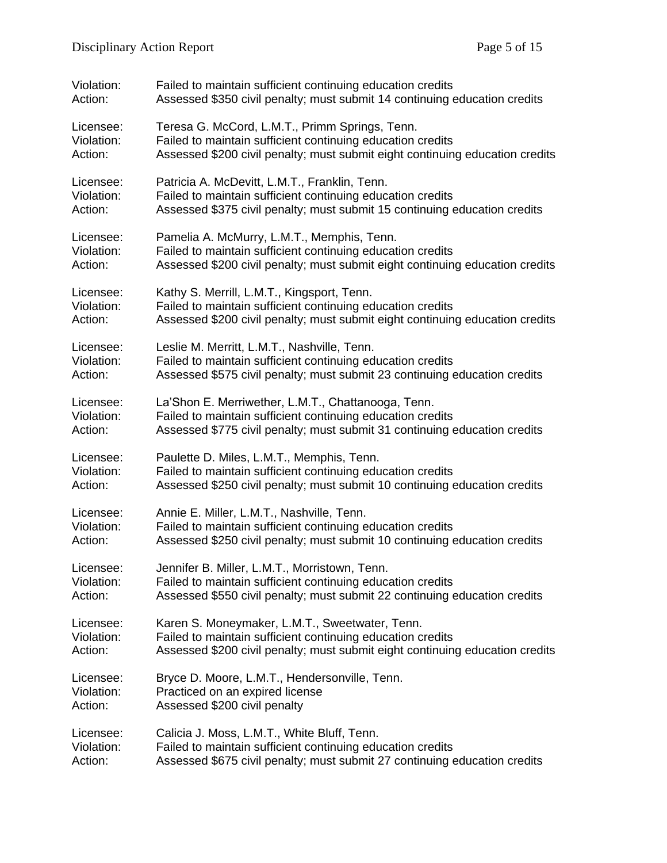| Violation: | Failed to maintain sufficient continuing education credits                   |
|------------|------------------------------------------------------------------------------|
| Action:    | Assessed \$350 civil penalty; must submit 14 continuing education credits    |
| Licensee:  | Teresa G. McCord, L.M.T., Primm Springs, Tenn.                               |
| Violation: | Failed to maintain sufficient continuing education credits                   |
| Action:    | Assessed \$200 civil penalty; must submit eight continuing education credits |
| Licensee:  | Patricia A. McDevitt, L.M.T., Franklin, Tenn.                                |
| Violation: | Failed to maintain sufficient continuing education credits                   |
| Action:    | Assessed \$375 civil penalty; must submit 15 continuing education credits    |
| Licensee:  | Pamelia A. McMurry, L.M.T., Memphis, Tenn.                                   |
| Violation: | Failed to maintain sufficient continuing education credits                   |
| Action:    | Assessed \$200 civil penalty; must submit eight continuing education credits |
| Licensee:  | Kathy S. Merrill, L.M.T., Kingsport, Tenn.                                   |
| Violation: | Failed to maintain sufficient continuing education credits                   |
| Action:    | Assessed \$200 civil penalty; must submit eight continuing education credits |
| Licensee:  | Leslie M. Merritt, L.M.T., Nashville, Tenn.                                  |
| Violation: | Failed to maintain sufficient continuing education credits                   |
| Action:    | Assessed \$575 civil penalty; must submit 23 continuing education credits    |
| Licensee:  | La'Shon E. Merriwether, L.M.T., Chattanooga, Tenn.                           |
| Violation: | Failed to maintain sufficient continuing education credits                   |
| Action:    | Assessed \$775 civil penalty; must submit 31 continuing education credits    |
| Licensee:  | Paulette D. Miles, L.M.T., Memphis, Tenn.                                    |
| Violation: | Failed to maintain sufficient continuing education credits                   |
| Action:    | Assessed \$250 civil penalty; must submit 10 continuing education credits    |
| Licensee:  | Annie E. Miller, L.M.T., Nashville, Tenn.                                    |
| Violation: | Failed to maintain sufficient continuing education credits                   |
| Action:    | Assessed \$250 civil penalty; must submit 10 continuing education credits    |
| Licensee:  | Jennifer B. Miller, L.M.T., Morristown, Tenn.                                |
| Violation: | Failed to maintain sufficient continuing education credits                   |
| Action:    | Assessed \$550 civil penalty; must submit 22 continuing education credits    |
| Licensee:  | Karen S. Moneymaker, L.M.T., Sweetwater, Tenn.                               |
| Violation: | Failed to maintain sufficient continuing education credits                   |
| Action:    | Assessed \$200 civil penalty; must submit eight continuing education credits |
| Licensee:  | Bryce D. Moore, L.M.T., Hendersonville, Tenn.                                |
| Violation: | Practiced on an expired license                                              |
| Action:    | Assessed \$200 civil penalty                                                 |
| Licensee:  | Calicia J. Moss, L.M.T., White Bluff, Tenn.                                  |
| Violation: | Failed to maintain sufficient continuing education credits                   |
| Action:    | Assessed \$675 civil penalty; must submit 27 continuing education credits    |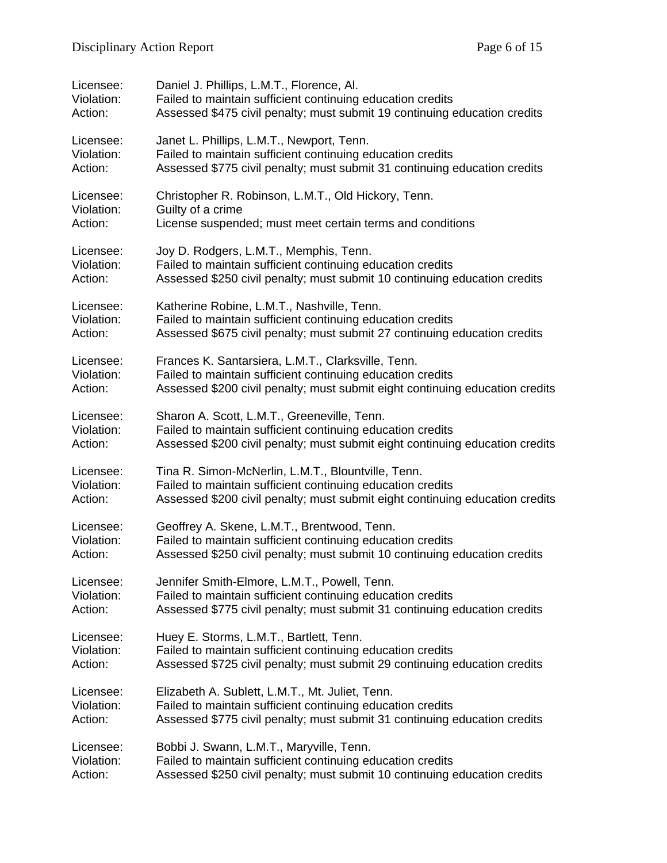| Licensee:  | Daniel J. Phillips, L.M.T., Florence, Al.                                    |
|------------|------------------------------------------------------------------------------|
| Violation: | Failed to maintain sufficient continuing education credits                   |
| Action:    | Assessed \$475 civil penalty; must submit 19 continuing education credits    |
| Licensee:  | Janet L. Phillips, L.M.T., Newport, Tenn.                                    |
| Violation: | Failed to maintain sufficient continuing education credits                   |
| Action:    | Assessed \$775 civil penalty; must submit 31 continuing education credits    |
| Licensee:  | Christopher R. Robinson, L.M.T., Old Hickory, Tenn.                          |
| Violation: | Guilty of a crime                                                            |
| Action:    | License suspended; must meet certain terms and conditions                    |
| Licensee:  | Joy D. Rodgers, L.M.T., Memphis, Tenn.                                       |
| Violation: | Failed to maintain sufficient continuing education credits                   |
| Action:    | Assessed \$250 civil penalty; must submit 10 continuing education credits    |
| Licensee:  | Katherine Robine, L.M.T., Nashville, Tenn.                                   |
| Violation: | Failed to maintain sufficient continuing education credits                   |
| Action:    | Assessed \$675 civil penalty; must submit 27 continuing education credits    |
| Licensee:  | Frances K. Santarsiera, L.M.T., Clarksville, Tenn.                           |
| Violation: | Failed to maintain sufficient continuing education credits                   |
| Action:    | Assessed \$200 civil penalty; must submit eight continuing education credits |
| Licensee:  | Sharon A. Scott, L.M.T., Greeneville, Tenn.                                  |
| Violation: | Failed to maintain sufficient continuing education credits                   |
| Action:    | Assessed \$200 civil penalty; must submit eight continuing education credits |
| Licensee:  | Tina R. Simon-McNerlin, L.M.T., Blountville, Tenn.                           |
| Violation: | Failed to maintain sufficient continuing education credits                   |
| Action:    | Assessed \$200 civil penalty; must submit eight continuing education credits |
| Licensee:  | Geoffrey A. Skene, L.M.T., Brentwood, Tenn.                                  |
| Violation: | Failed to maintain sufficient continuing education credits                   |
| Action:    | Assessed \$250 civil penalty; must submit 10 continuing education credits    |
| Licensee:  | Jennifer Smith-Elmore, L.M.T., Powell, Tenn.                                 |
| Violation: | Failed to maintain sufficient continuing education credits                   |
| Action:    | Assessed \$775 civil penalty; must submit 31 continuing education credits    |
| Licensee:  | Huey E. Storms, L.M.T., Bartlett, Tenn.                                      |
| Violation: | Failed to maintain sufficient continuing education credits                   |
| Action:    | Assessed \$725 civil penalty; must submit 29 continuing education credits    |
| Licensee:  | Elizabeth A. Sublett, L.M.T., Mt. Juliet, Tenn.                              |
| Violation: | Failed to maintain sufficient continuing education credits                   |
| Action:    | Assessed \$775 civil penalty; must submit 31 continuing education credits    |
| Licensee:  | Bobbi J. Swann, L.M.T., Maryville, Tenn.                                     |
| Violation: | Failed to maintain sufficient continuing education credits                   |
| Action:    | Assessed \$250 civil penalty; must submit 10 continuing education credits    |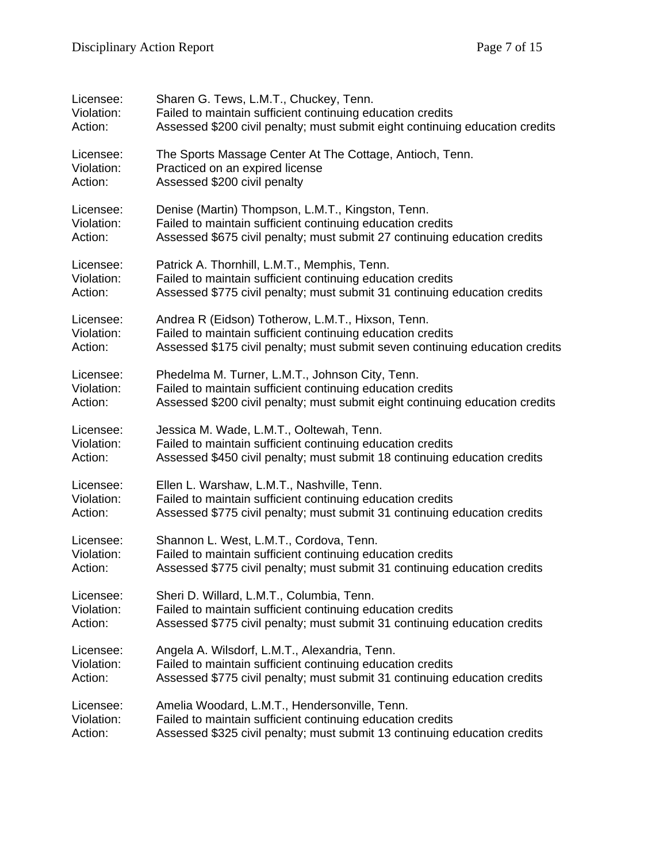| Licensee:  | Sharen G. Tews, L.M.T., Chuckey, Tenn.                                       |
|------------|------------------------------------------------------------------------------|
| Violation: | Failed to maintain sufficient continuing education credits                   |
| Action:    | Assessed \$200 civil penalty; must submit eight continuing education credits |
| Licensee:  | The Sports Massage Center At The Cottage, Antioch, Tenn.                     |
| Violation: | Practiced on an expired license                                              |
| Action:    | Assessed \$200 civil penalty                                                 |
| Licensee:  | Denise (Martin) Thompson, L.M.T., Kingston, Tenn.                            |
| Violation: | Failed to maintain sufficient continuing education credits                   |
| Action:    | Assessed \$675 civil penalty; must submit 27 continuing education credits    |
| Licensee:  | Patrick A. Thornhill, L.M.T., Memphis, Tenn.                                 |
| Violation: | Failed to maintain sufficient continuing education credits                   |
| Action:    | Assessed \$775 civil penalty; must submit 31 continuing education credits    |
| Licensee:  | Andrea R (Eidson) Totherow, L.M.T., Hixson, Tenn.                            |
| Violation: | Failed to maintain sufficient continuing education credits                   |
| Action:    | Assessed \$175 civil penalty; must submit seven continuing education credits |
| Licensee:  | Phedelma M. Turner, L.M.T., Johnson City, Tenn.                              |
| Violation: | Failed to maintain sufficient continuing education credits                   |
| Action:    | Assessed \$200 civil penalty; must submit eight continuing education credits |
| Licensee:  | Jessica M. Wade, L.M.T., Ooltewah, Tenn.                                     |
| Violation: | Failed to maintain sufficient continuing education credits                   |
| Action:    | Assessed \$450 civil penalty; must submit 18 continuing education credits    |
| Licensee:  | Ellen L. Warshaw, L.M.T., Nashville, Tenn.                                   |
| Violation: | Failed to maintain sufficient continuing education credits                   |
| Action:    | Assessed \$775 civil penalty; must submit 31 continuing education credits    |
| Licensee:  | Shannon L. West, L.M.T., Cordova, Tenn.                                      |
| Violation: | Failed to maintain sufficient continuing education credits                   |
| Action:    | Assessed \$775 civil penalty; must submit 31 continuing education credits    |
| Licensee:  | Sheri D. Willard, L.M.T., Columbia, Tenn.                                    |
| Violation: | Failed to maintain sufficient continuing education credits                   |
| Action:    | Assessed \$775 civil penalty; must submit 31 continuing education credits    |
| Licensee:  | Angela A. Wilsdorf, L.M.T., Alexandria, Tenn.                                |
| Violation: | Failed to maintain sufficient continuing education credits                   |
| Action:    | Assessed \$775 civil penalty; must submit 31 continuing education credits    |
| Licensee:  | Amelia Woodard, L.M.T., Hendersonville, Tenn.                                |
| Violation: | Failed to maintain sufficient continuing education credits                   |
| Action:    | Assessed \$325 civil penalty; must submit 13 continuing education credits    |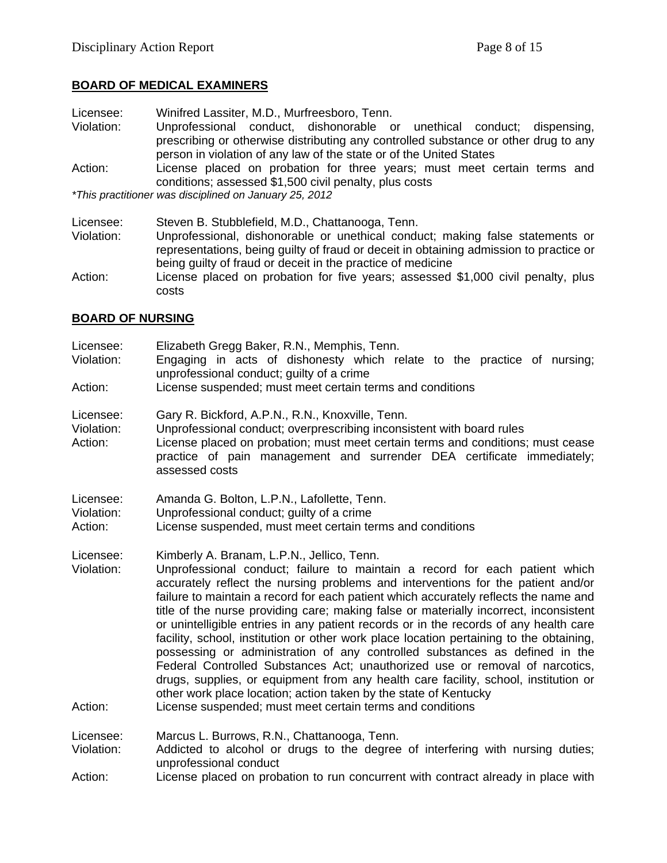#### **BOARD OF MEDICAL EXAMINERS**

- Licensee: Winifred Lassiter, M.D., Murfreesboro, Tenn.
- Violation: Unprofessional conduct, dishonorable or unethical conduct; dispensing, prescribing or otherwise distributing any controlled substance or other drug to any person in violation of any law of the state or of the United States
- Action: License placed on probation for three years; must meet certain terms and conditions; assessed \$1,500 civil penalty, plus costs

*\*This practitioner was disciplined on January 25, 2012*

- Licensee: Steven B. Stubblefield, M.D., Chattanooga, Tenn.
- Violation: Unprofessional, dishonorable or unethical conduct; making false statements or representations, being guilty of fraud or deceit in obtaining admission to practice or being guilty of fraud or deceit in the practice of medicine
- Action: License placed on probation for five years; assessed \$1,000 civil penalty, plus costs

#### **BOARD OF NURSING**

- Licensee: Elizabeth Gregg Baker, R.N., Memphis, Tenn.
- Violation: Engaging in acts of dishonesty which relate to the practice of nursing; unprofessional conduct; guilty of a crime
- Action: License suspended; must meet certain terms and conditions
- Licensee: Gary R. Bickford, A.P.N., R.N., Knoxville, Tenn.
- Violation: Unprofessional conduct; overprescribing inconsistent with board rules Action: License placed on probation; must meet certain terms and conditions; must cease practice of pain management and surrender DEA certificate immediately; assessed costs
- Licensee: Amanda G. Bolton, L.P.N., Lafollette, Tenn.
- Violation: Unprofessional conduct; guilty of a crime
- Action: License suspended, must meet certain terms and conditions
- Licensee: Kimberly A. Branam, L.P.N., Jellico, Tenn.
- Violation: Unprofessional conduct; failure to maintain a record for each patient which accurately reflect the nursing problems and interventions for the patient and/or failure to maintain a record for each patient which accurately reflects the name and title of the nurse providing care; making false or materially incorrect, inconsistent or unintelligible entries in any patient records or in the records of any health care facility, school, institution or other work place location pertaining to the obtaining, possessing or administration of any controlled substances as defined in the Federal Controlled Substances Act; unauthorized use or removal of narcotics, drugs, supplies, or equipment from any health care facility, school, institution or other work place location; action taken by the state of Kentucky Action: License suspended; must meet certain terms and conditions
- 

Licensee: Marcus L. Burrows, R.N., Chattanooga, Tenn.

- Violation: Addicted to alcohol or drugs to the degree of interfering with nursing duties; unprofessional conduct
- Action: License placed on probation to run concurrent with contract already in place with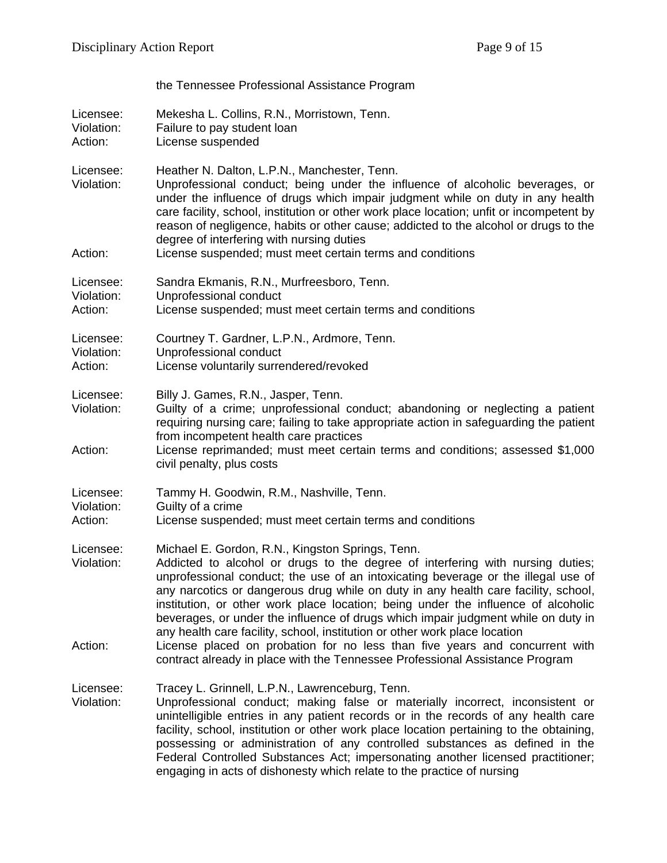|                                    | the Tennessee Professional Assistance Program                                                                                                                                                                                                                                                                                                                                                                                                                                                                                                                         |
|------------------------------------|-----------------------------------------------------------------------------------------------------------------------------------------------------------------------------------------------------------------------------------------------------------------------------------------------------------------------------------------------------------------------------------------------------------------------------------------------------------------------------------------------------------------------------------------------------------------------|
| Licensee:<br>Violation:<br>Action: | Mekesha L. Collins, R.N., Morristown, Tenn.<br>Failure to pay student loan<br>License suspended                                                                                                                                                                                                                                                                                                                                                                                                                                                                       |
| Licensee:<br>Violation:            | Heather N. Dalton, L.P.N., Manchester, Tenn.<br>Unprofessional conduct; being under the influence of alcoholic beverages, or<br>under the influence of drugs which impair judgment while on duty in any health<br>care facility, school, institution or other work place location; unfit or incompetent by<br>reason of negligence, habits or other cause; addicted to the alcohol or drugs to the<br>degree of interfering with nursing duties                                                                                                                       |
| Action:                            | License suspended; must meet certain terms and conditions                                                                                                                                                                                                                                                                                                                                                                                                                                                                                                             |
| Licensee:<br>Violation:<br>Action: | Sandra Ekmanis, R.N., Murfreesboro, Tenn.<br>Unprofessional conduct<br>License suspended; must meet certain terms and conditions                                                                                                                                                                                                                                                                                                                                                                                                                                      |
| Licensee:<br>Violation:<br>Action: | Courtney T. Gardner, L.P.N., Ardmore, Tenn.<br>Unprofessional conduct<br>License voluntarily surrendered/revoked                                                                                                                                                                                                                                                                                                                                                                                                                                                      |
| Licensee:<br>Violation:            | Billy J. Games, R.N., Jasper, Tenn.<br>Guilty of a crime; unprofessional conduct; abandoning or neglecting a patient<br>requiring nursing care; failing to take appropriate action in safeguarding the patient<br>from incompetent health care practices                                                                                                                                                                                                                                                                                                              |
| Action:                            | License reprimanded; must meet certain terms and conditions; assessed \$1,000<br>civil penalty, plus costs                                                                                                                                                                                                                                                                                                                                                                                                                                                            |
| Licensee:<br>Violation:<br>Action: | Tammy H. Goodwin, R.M., Nashville, Tenn.<br>Guilty of a crime<br>License suspended; must meet certain terms and conditions                                                                                                                                                                                                                                                                                                                                                                                                                                            |
| Licensee:<br>Violation:            | Michael E. Gordon, R.N., Kingston Springs, Tenn.<br>Addicted to alcohol or drugs to the degree of interfering with nursing duties;<br>unprofessional conduct; the use of an intoxicating beverage or the illegal use of<br>any narcotics or dangerous drug while on duty in any health care facility, school,<br>institution, or other work place location; being under the influence of alcoholic<br>beverages, or under the influence of drugs which impair judgment while on duty in<br>any health care facility, school, institution or other work place location |
| Action:                            | License placed on probation for no less than five years and concurrent with<br>contract already in place with the Tennessee Professional Assistance Program                                                                                                                                                                                                                                                                                                                                                                                                           |
| Licensee:<br>Violation:            | Tracey L. Grinnell, L.P.N., Lawrenceburg, Tenn.<br>Unprofessional conduct; making false or materially incorrect, inconsistent or<br>unintelligible entries in any patient records or in the records of any health care<br>facility, school, institution or other work place location pertaining to the obtaining,<br>possessing or administration of any controlled substances as defined in the<br>Federal Controlled Substances Act; impersonating another licensed practitioner;<br>engaging in acts of dishonesty which relate to the practice of nursing         |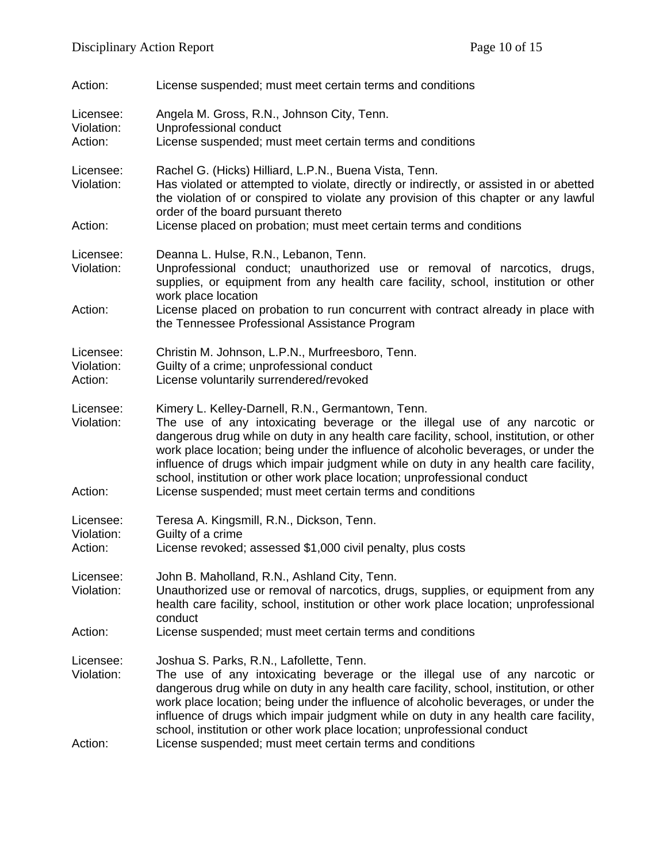| Action:                            | License suspended; must meet certain terms and conditions                                                                                                                                                                                                                                                                                                                                                                                                                                                                                         |
|------------------------------------|---------------------------------------------------------------------------------------------------------------------------------------------------------------------------------------------------------------------------------------------------------------------------------------------------------------------------------------------------------------------------------------------------------------------------------------------------------------------------------------------------------------------------------------------------|
| Licensee:<br>Violation:<br>Action: | Angela M. Gross, R.N., Johnson City, Tenn.<br>Unprofessional conduct<br>License suspended; must meet certain terms and conditions                                                                                                                                                                                                                                                                                                                                                                                                                 |
| Licensee:<br>Violation:            | Rachel G. (Hicks) Hilliard, L.P.N., Buena Vista, Tenn.<br>Has violated or attempted to violate, directly or indirectly, or assisted in or abetted<br>the violation of or conspired to violate any provision of this chapter or any lawful<br>order of the board pursuant thereto                                                                                                                                                                                                                                                                  |
| Action:                            | License placed on probation; must meet certain terms and conditions                                                                                                                                                                                                                                                                                                                                                                                                                                                                               |
| Licensee:<br>Violation:            | Deanna L. Hulse, R.N., Lebanon, Tenn.<br>Unprofessional conduct; unauthorized use or removal of narcotics, drugs,<br>supplies, or equipment from any health care facility, school, institution or other<br>work place location                                                                                                                                                                                                                                                                                                                    |
| Action:                            | License placed on probation to run concurrent with contract already in place with<br>the Tennessee Professional Assistance Program                                                                                                                                                                                                                                                                                                                                                                                                                |
| Licensee:<br>Violation:<br>Action: | Christin M. Johnson, L.P.N., Murfreesboro, Tenn.<br>Guilty of a crime; unprofessional conduct<br>License voluntarily surrendered/revoked                                                                                                                                                                                                                                                                                                                                                                                                          |
| Licensee:<br>Violation:<br>Action: | Kimery L. Kelley-Darnell, R.N., Germantown, Tenn.<br>The use of any intoxicating beverage or the illegal use of any narcotic or<br>dangerous drug while on duty in any health care facility, school, institution, or other<br>work place location; being under the influence of alcoholic beverages, or under the<br>influence of drugs which impair judgment while on duty in any health care facility,<br>school, institution or other work place location; unprofessional conduct<br>License suspended; must meet certain terms and conditions |
|                                    |                                                                                                                                                                                                                                                                                                                                                                                                                                                                                                                                                   |
| Licensee:<br>Violation:<br>Action: | Teresa A. Kingsmill, R.N., Dickson, Tenn.<br>Guilty of a crime<br>License revoked; assessed \$1,000 civil penalty, plus costs                                                                                                                                                                                                                                                                                                                                                                                                                     |
| Licensee:<br>Violation:            | John B. Maholland, R.N., Ashland City, Tenn.<br>Unauthorized use or removal of narcotics, drugs, supplies, or equipment from any<br>health care facility, school, institution or other work place location; unprofessional<br>conduct                                                                                                                                                                                                                                                                                                             |
| Action:                            | License suspended; must meet certain terms and conditions                                                                                                                                                                                                                                                                                                                                                                                                                                                                                         |
| Licensee:<br>Violation:            | Joshua S. Parks, R.N., Lafollette, Tenn.<br>The use of any intoxicating beverage or the illegal use of any narcotic or<br>dangerous drug while on duty in any health care facility, school, institution, or other<br>work place location; being under the influence of alcoholic beverages, or under the<br>influence of drugs which impair judgment while on duty in any health care facility,<br>school, institution or other work place location; unprofessional conduct                                                                       |
| Action:                            | License suspended; must meet certain terms and conditions                                                                                                                                                                                                                                                                                                                                                                                                                                                                                         |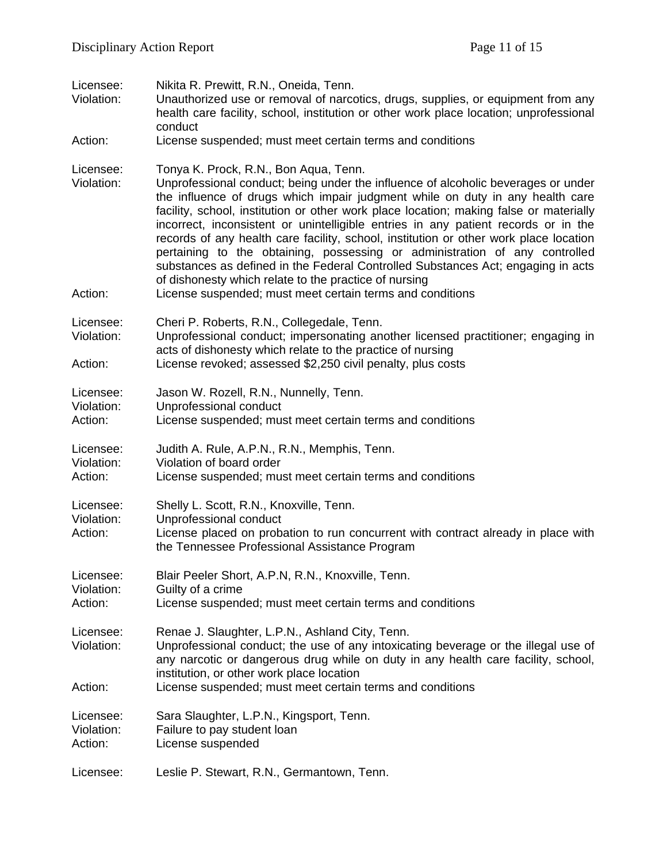| Licensee:<br>Violation:            | Nikita R. Prewitt, R.N., Oneida, Tenn.<br>Unauthorized use or removal of narcotics, drugs, supplies, or equipment from any<br>health care facility, school, institution or other work place location; unprofessional<br>conduct                                                                                                                                                                                                                                                                                                                                                                                                                                                                                  |
|------------------------------------|------------------------------------------------------------------------------------------------------------------------------------------------------------------------------------------------------------------------------------------------------------------------------------------------------------------------------------------------------------------------------------------------------------------------------------------------------------------------------------------------------------------------------------------------------------------------------------------------------------------------------------------------------------------------------------------------------------------|
| Action:                            | License suspended; must meet certain terms and conditions                                                                                                                                                                                                                                                                                                                                                                                                                                                                                                                                                                                                                                                        |
| Licensee:<br>Violation:            | Tonya K. Prock, R.N., Bon Aqua, Tenn.<br>Unprofessional conduct; being under the influence of alcoholic beverages or under<br>the influence of drugs which impair judgment while on duty in any health care<br>facility, school, institution or other work place location; making false or materially<br>incorrect, inconsistent or unintelligible entries in any patient records or in the<br>records of any health care facility, school, institution or other work place location<br>pertaining to the obtaining, possessing or administration of any controlled<br>substances as defined in the Federal Controlled Substances Act; engaging in acts<br>of dishonesty which relate to the practice of nursing |
| Action:                            | License suspended; must meet certain terms and conditions                                                                                                                                                                                                                                                                                                                                                                                                                                                                                                                                                                                                                                                        |
| Licensee:<br>Violation:            | Cheri P. Roberts, R.N., Collegedale, Tenn.<br>Unprofessional conduct; impersonating another licensed practitioner; engaging in<br>acts of dishonesty which relate to the practice of nursing                                                                                                                                                                                                                                                                                                                                                                                                                                                                                                                     |
| Action:                            | License revoked; assessed \$2,250 civil penalty, plus costs                                                                                                                                                                                                                                                                                                                                                                                                                                                                                                                                                                                                                                                      |
| Licensee:<br>Violation:<br>Action: | Jason W. Rozell, R.N., Nunnelly, Tenn.<br>Unprofessional conduct<br>License suspended; must meet certain terms and conditions                                                                                                                                                                                                                                                                                                                                                                                                                                                                                                                                                                                    |
| Licensee:<br>Violation:<br>Action: | Judith A. Rule, A.P.N., R.N., Memphis, Tenn.<br>Violation of board order<br>License suspended; must meet certain terms and conditions                                                                                                                                                                                                                                                                                                                                                                                                                                                                                                                                                                            |
| Licensee:<br>Violation:<br>Action: | Shelly L. Scott, R.N., Knoxville, Tenn.<br>Unprofessional conduct<br>License placed on probation to run concurrent with contract already in place with<br>the Tennessee Professional Assistance Program                                                                                                                                                                                                                                                                                                                                                                                                                                                                                                          |
| Licensee:<br>Violation:<br>Action: | Blair Peeler Short, A.P.N, R.N., Knoxville, Tenn.<br>Guilty of a crime<br>License suspended; must meet certain terms and conditions                                                                                                                                                                                                                                                                                                                                                                                                                                                                                                                                                                              |
| Licensee:<br>Violation:<br>Action: | Renae J. Slaughter, L.P.N., Ashland City, Tenn.<br>Unprofessional conduct; the use of any intoxicating beverage or the illegal use of<br>any narcotic or dangerous drug while on duty in any health care facility, school,<br>institution, or other work place location<br>License suspended; must meet certain terms and conditions                                                                                                                                                                                                                                                                                                                                                                             |
|                                    |                                                                                                                                                                                                                                                                                                                                                                                                                                                                                                                                                                                                                                                                                                                  |
| Licensee:<br>Violation:<br>Action: | Sara Slaughter, L.P.N., Kingsport, Tenn.<br>Failure to pay student loan<br>License suspended                                                                                                                                                                                                                                                                                                                                                                                                                                                                                                                                                                                                                     |
| Licensee:                          | Leslie P. Stewart, R.N., Germantown, Tenn.                                                                                                                                                                                                                                                                                                                                                                                                                                                                                                                                                                                                                                                                       |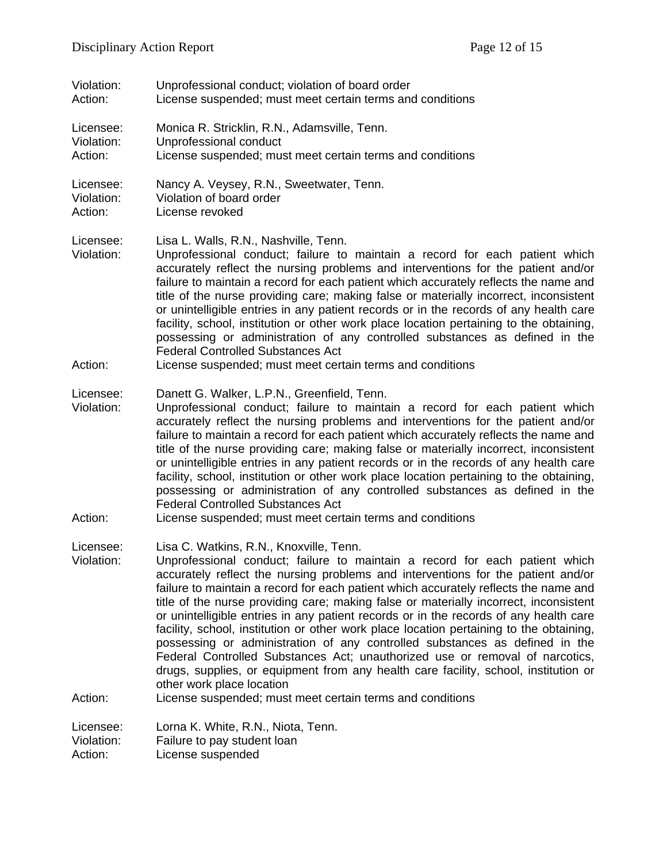| Violation:                         | Unprofessional conduct; violation of board order                                                                                                                                                                                                                                                                                                                                                                                                                                                                                                                                                                                                                                                                                                                                                                                                                                                                                |
|------------------------------------|---------------------------------------------------------------------------------------------------------------------------------------------------------------------------------------------------------------------------------------------------------------------------------------------------------------------------------------------------------------------------------------------------------------------------------------------------------------------------------------------------------------------------------------------------------------------------------------------------------------------------------------------------------------------------------------------------------------------------------------------------------------------------------------------------------------------------------------------------------------------------------------------------------------------------------|
| Action:                            | License suspended; must meet certain terms and conditions                                                                                                                                                                                                                                                                                                                                                                                                                                                                                                                                                                                                                                                                                                                                                                                                                                                                       |
| Licensee:                          | Monica R. Stricklin, R.N., Adamsville, Tenn.                                                                                                                                                                                                                                                                                                                                                                                                                                                                                                                                                                                                                                                                                                                                                                                                                                                                                    |
| Violation:                         | Unprofessional conduct                                                                                                                                                                                                                                                                                                                                                                                                                                                                                                                                                                                                                                                                                                                                                                                                                                                                                                          |
| Action:                            | License suspended; must meet certain terms and conditions                                                                                                                                                                                                                                                                                                                                                                                                                                                                                                                                                                                                                                                                                                                                                                                                                                                                       |
| Licensee:                          | Nancy A. Veysey, R.N., Sweetwater, Tenn.                                                                                                                                                                                                                                                                                                                                                                                                                                                                                                                                                                                                                                                                                                                                                                                                                                                                                        |
| Violation:                         | Violation of board order                                                                                                                                                                                                                                                                                                                                                                                                                                                                                                                                                                                                                                                                                                                                                                                                                                                                                                        |
| Action:                            | License revoked                                                                                                                                                                                                                                                                                                                                                                                                                                                                                                                                                                                                                                                                                                                                                                                                                                                                                                                 |
| Licensee:<br>Violation:<br>Action: | Lisa L. Walls, R.N., Nashville, Tenn.<br>Unprofessional conduct; failure to maintain a record for each patient which<br>accurately reflect the nursing problems and interventions for the patient and/or<br>failure to maintain a record for each patient which accurately reflects the name and<br>title of the nurse providing care; making false or materially incorrect, inconsistent<br>or unintelligible entries in any patient records or in the records of any health care<br>facility, school, institution or other work place location pertaining to the obtaining,<br>possessing or administration of any controlled substances as defined in the<br><b>Federal Controlled Substances Act</b><br>License suspended; must meet certain terms and conditions                                                                                                                                                           |
| Licensee:<br>Violation:<br>Action: | Danett G. Walker, L.P.N., Greenfield, Tenn.<br>Unprofessional conduct; failure to maintain a record for each patient which<br>accurately reflect the nursing problems and interventions for the patient and/or<br>failure to maintain a record for each patient which accurately reflects the name and<br>title of the nurse providing care; making false or materially incorrect, inconsistent<br>or unintelligible entries in any patient records or in the records of any health care<br>facility, school, institution or other work place location pertaining to the obtaining,<br>possessing or administration of any controlled substances as defined in the<br><b>Federal Controlled Substances Act</b><br>License suspended; must meet certain terms and conditions                                                                                                                                                     |
| Licensee:<br>Violation:<br>Action: | Lisa C. Watkins, R.N., Knoxville, Tenn.<br>Unprofessional conduct; failure to maintain a record for each patient which<br>accurately reflect the nursing problems and interventions for the patient and/or<br>failure to maintain a record for each patient which accurately reflects the name and<br>title of the nurse providing care; making false or materially incorrect, inconsistent<br>or unintelligible entries in any patient records or in the records of any health care<br>facility, school, institution or other work place location pertaining to the obtaining,<br>possessing or administration of any controlled substances as defined in the<br>Federal Controlled Substances Act; unauthorized use or removal of narcotics,<br>drugs, supplies, or equipment from any health care facility, school, institution or<br>other work place location<br>License suspended; must meet certain terms and conditions |
| Licensee:                          | Lorna K. White, R.N., Niota, Tenn.                                                                                                                                                                                                                                                                                                                                                                                                                                                                                                                                                                                                                                                                                                                                                                                                                                                                                              |
| Violation:                         | Failure to pay student loan                                                                                                                                                                                                                                                                                                                                                                                                                                                                                                                                                                                                                                                                                                                                                                                                                                                                                                     |
| Action:                            | License suspended                                                                                                                                                                                                                                                                                                                                                                                                                                                                                                                                                                                                                                                                                                                                                                                                                                                                                                               |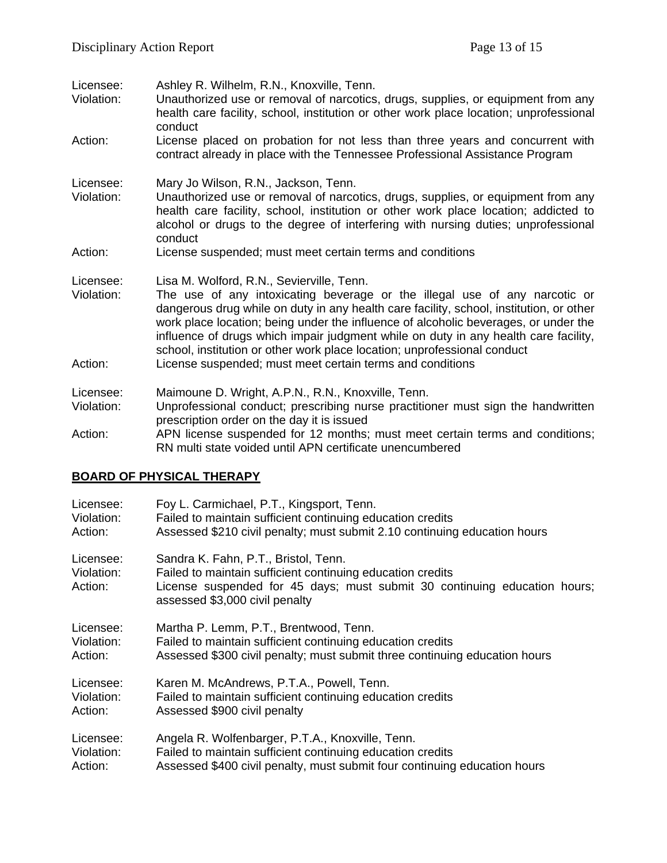| Licensee:<br>Violation:            | Ashley R. Wilhelm, R.N., Knoxville, Tenn.<br>Unauthorized use or removal of narcotics, drugs, supplies, or equipment from any<br>health care facility, school, institution or other work place location; unprofessional<br>conduct                                                                                                                                                                                                                                                                                                        |
|------------------------------------|-------------------------------------------------------------------------------------------------------------------------------------------------------------------------------------------------------------------------------------------------------------------------------------------------------------------------------------------------------------------------------------------------------------------------------------------------------------------------------------------------------------------------------------------|
| Action:                            | License placed on probation for not less than three years and concurrent with<br>contract already in place with the Tennessee Professional Assistance Program                                                                                                                                                                                                                                                                                                                                                                             |
| Licensee:<br>Violation:            | Mary Jo Wilson, R.N., Jackson, Tenn.<br>Unauthorized use or removal of narcotics, drugs, supplies, or equipment from any<br>health care facility, school, institution or other work place location; addicted to<br>alcohol or drugs to the degree of interfering with nursing duties; unprofessional<br>conduct                                                                                                                                                                                                                           |
| Action:                            | License suspended; must meet certain terms and conditions                                                                                                                                                                                                                                                                                                                                                                                                                                                                                 |
| Licensee:<br>Violation:<br>Action: | Lisa M. Wolford, R.N., Sevierville, Tenn.<br>The use of any intoxicating beverage or the illegal use of any narcotic or<br>dangerous drug while on duty in any health care facility, school, institution, or other<br>work place location; being under the influence of alcoholic beverages, or under the<br>influence of drugs which impair judgment while on duty in any health care facility,<br>school, institution or other work place location; unprofessional conduct<br>License suspended; must meet certain terms and conditions |
| Licensee:                          | Maimoune D. Wright, A.P.N., R.N., Knoxville, Tenn.                                                                                                                                                                                                                                                                                                                                                                                                                                                                                        |
| Violation:                         | Unprofessional conduct; prescribing nurse practitioner must sign the handwritten<br>prescription order on the day it is issued                                                                                                                                                                                                                                                                                                                                                                                                            |
| Action:                            | APN license suspended for 12 months; must meet certain terms and conditions;<br>RN multi state voided until APN certificate unencumbered                                                                                                                                                                                                                                                                                                                                                                                                  |

## **BOARD OF PHYSICAL THERAPY**

| Licensee:                          | Foy L. Carmichael, P.T., Kingsport, Tenn.                                                                                                                                                                         |
|------------------------------------|-------------------------------------------------------------------------------------------------------------------------------------------------------------------------------------------------------------------|
| Violation:                         | Failed to maintain sufficient continuing education credits                                                                                                                                                        |
| Action:                            | Assessed \$210 civil penalty; must submit 2.10 continuing education hours                                                                                                                                         |
| Licensee:<br>Violation:<br>Action: | Sandra K. Fahn, P.T., Bristol, Tenn.<br>Failed to maintain sufficient continuing education credits<br>License suspended for 45 days; must submit 30 continuing education hours;<br>assessed \$3,000 civil penalty |
| Licensee:                          | Martha P. Lemm, P.T., Brentwood, Tenn.                                                                                                                                                                            |
| Violation:                         | Failed to maintain sufficient continuing education credits                                                                                                                                                        |
| Action:                            | Assessed \$300 civil penalty; must submit three continuing education hours                                                                                                                                        |
| Licensee:                          | Karen M. McAndrews, P.T.A., Powell, Tenn.                                                                                                                                                                         |
| Violation:                         | Failed to maintain sufficient continuing education credits                                                                                                                                                        |
| Action:                            | Assessed \$900 civil penalty                                                                                                                                                                                      |
| Licensee:                          | Angela R. Wolfenbarger, P.T.A., Knoxville, Tenn.                                                                                                                                                                  |
| Violation:                         | Failed to maintain sufficient continuing education credits                                                                                                                                                        |
| Action:                            | Assessed \$400 civil penalty, must submit four continuing education hours                                                                                                                                         |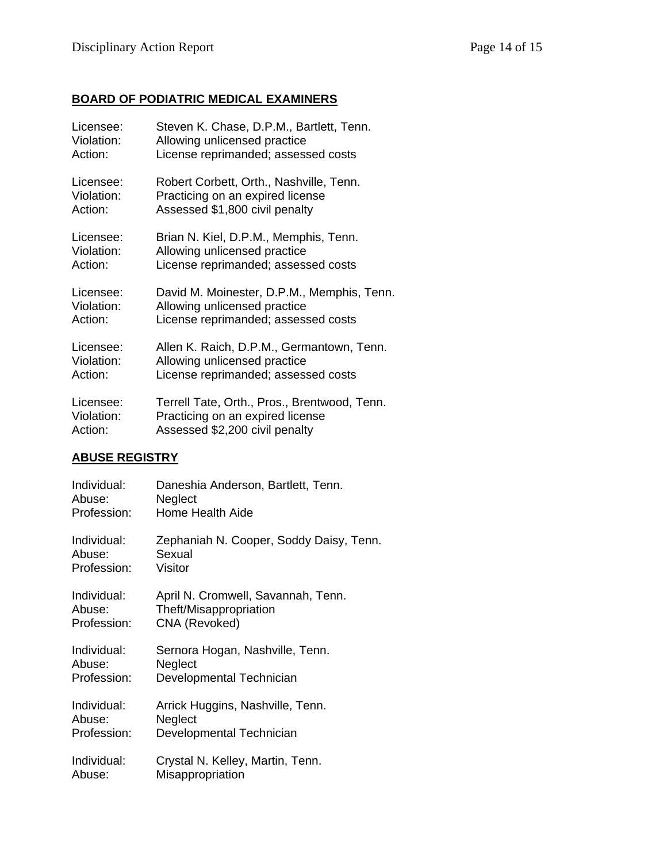## **BOARD OF PODIATRIC MEDICAL EXAMINERS**

| Licensee:  | Steven K. Chase, D.P.M., Bartlett, Tenn.     |
|------------|----------------------------------------------|
| Violation: | Allowing unlicensed practice                 |
| Action:    | License reprimanded; assessed costs          |
| Licensee:  | Robert Corbett, Orth., Nashville, Tenn.      |
| Violation: | Practicing on an expired license             |
| Action:    | Assessed \$1,800 civil penalty               |
| Licensee:  | Brian N. Kiel, D.P.M., Memphis, Tenn.        |
| Violation: | Allowing unlicensed practice                 |
| Action:    | License reprimanded; assessed costs          |
| Licensee:  | David M. Moinester, D.P.M., Memphis, Tenn.   |
| Violation: | Allowing unlicensed practice                 |
| Action:    | License reprimanded; assessed costs          |
| Licensee:  | Allen K. Raich, D.P.M., Germantown, Tenn.    |
| Violation: | Allowing unlicensed practice                 |
| Action:    | License reprimanded; assessed costs          |
| Licensee:  | Terrell Tate, Orth., Pros., Brentwood, Tenn. |
| Violation: | Practicing on an expired license             |
| Action:    | Assessed \$2,200 civil penalty               |

## **ABUSE REGISTRY**

| Individual: | Daneshia Anderson, Bartlett, Tenn.      |
|-------------|-----------------------------------------|
| Abuse:      | Neglect                                 |
| Profession: | Home Health Aide                        |
| Individual: | Zephaniah N. Cooper, Soddy Daisy, Tenn. |
| Abuse:      | Sexual                                  |
| Profession: | Visitor                                 |
| Individual: | April N. Cromwell, Savannah, Tenn.      |
| Abuse:      | Theft/Misappropriation                  |
| Profession: | CNA (Revoked)                           |
| Individual: | Sernora Hogan, Nashville, Tenn.         |
| Abuse:      | Neglect                                 |
| Profession: | Developmental Technician                |
| Individual: | Arrick Huggins, Nashville, Tenn.        |
| Abuse:      | Neglect                                 |
| Profession: | Developmental Technician                |
| Individual: | Crystal N. Kelley, Martin, Tenn.        |
| Abuse:      | Misappropriation                        |